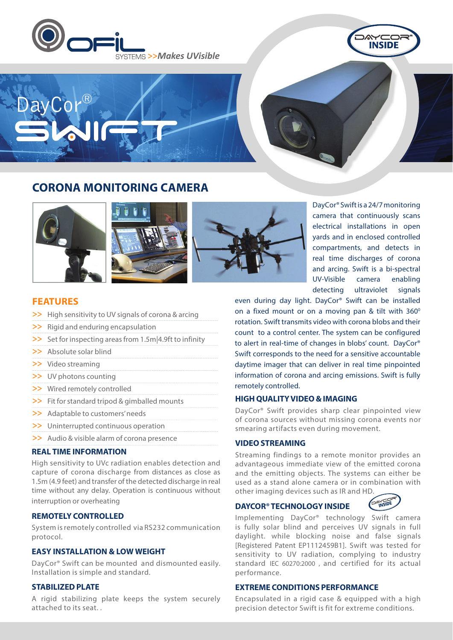



# **CORONA MONITORING CAMERA**







DayCor® Swift is a 24/7 monitoring camera that continuously scans electrical installations in open yards and in enclosed controlled compartments, and detects in real time discharges of corona and arcing. Swift is a bi-spectral UV-Visible camera enabling detecting ultraviolet signals

**FEATURES**

ayCor

- >> High sensitivity to UV signals of corona & arcing
- >> Rigid and enduring encapsulation
- >> Set for inspecting areas from 1.5m|4.9ft to infinity
- >> Absolute solar blind
- >> Video streaming
- >> UV photons counting
- >> Wired remotely controlled
- >> Fit for standard tripod & gimballed mounts
- >> Adaptable to customers' needs
- >> Uninterrupted continuous operation
- >> Audio & visible alarm of corona presence

## **REAL TIME INFORMATION**

High sensitivity to UVc radiation enables detection and capture of corona discharge from distances as close as 1.5m (4.9 feet) and transfer of the detected discharge in real time without any delay. Operation is continuous without interruption or overheating

#### **REMOTELY CONTROLLED**

System is remotely controlled via RS232 communication protocol.

# **EASY INSTALLATION & LOW WEIGHT**

DayCor® Swift can be mounted and dismounted easily. Installation is simple and standard.

# **STABILIZED PLATE**

A rigid stabilizing plate keeps the system securely attached to its seat. .

even during day light. DayCor® Swift can be installed on a fixed mount or on a moving pan  $&$  tilt with  $360^\circ$ rotation. Swift transmits video with corona blobs and their count to a control center. The system can be configured to alert in real-time of changes in blobs' count. DayCor® Swift corresponds to the need for a sensitive accountable daytime imager that can deliver in real time pinpointed information of corona and arcing emissions. Swift is fully remotely controlled.

#### **HIGH QUALITY VIDEO & IMAGING**

DayCor® Swift provides sharp clear pinpointed view of corona sources without missing corona events nor smearing artifacts even during movement.

## **VIDEO STREAMING**

Streaming findings to a remote monitor provides an advantageous immediate view of the emitted corona and the emitting objects. The systems can either be used as a stand alone camera or in combination with other imaging devices such as IR and HD.

#### **DAYCOR® TECHNOLOGY INSIDE**



Implementing DayCor® technology Swift camera is fully solar blind and perceives UV signals in full daylight. while blocking noise and false signals [Registered Patent EP1112459B1]. Swift was tested for sensitivity to UV radiation, complying to industry standard IEC 60270:2000 , and certified for its actual performance.

### **EXTREME CONDITIONS PERFORMANCE**

Encapsulated in a rigid case & equipped with a high precision detector Swift is fit for extreme conditions.